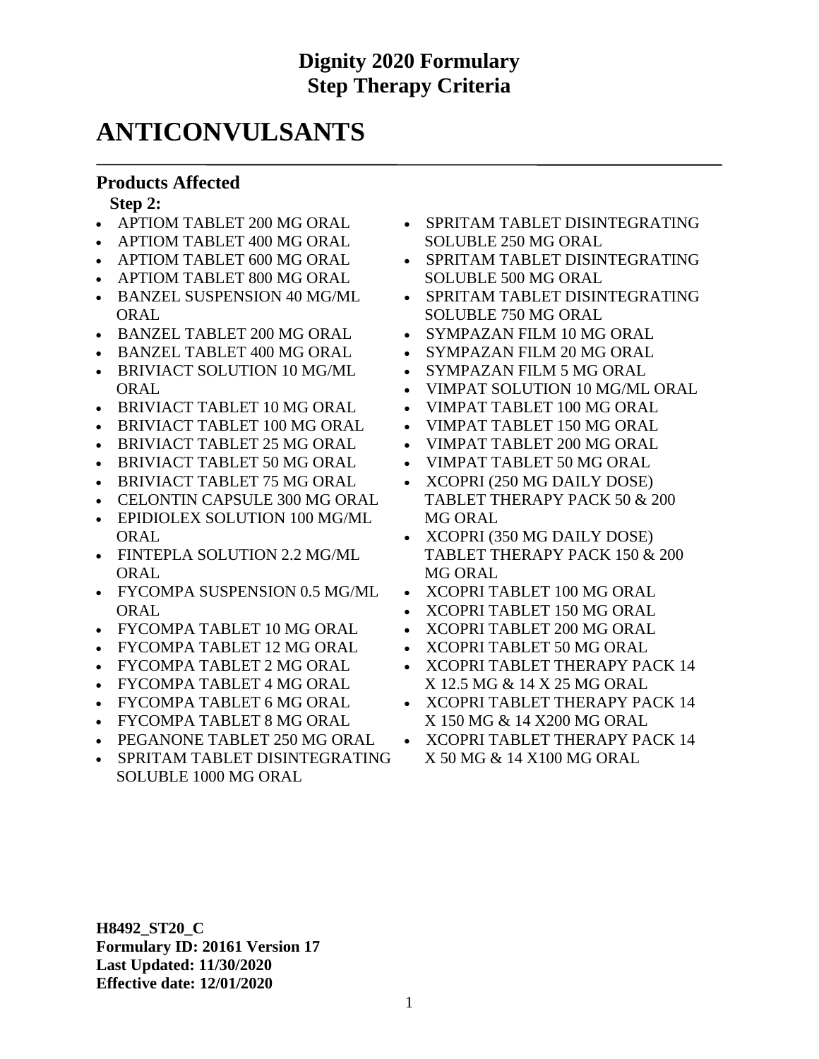## **ANTICONVULSANTS**

#### **Products Affected**

**Step 2:**

- APTIOM TABLET 200 MG ORAL
- APTIOM TABLET 400 MG ORAL
- APTIOM TABLET 600 MG ORAL
- APTIOM TABLET 800 MG ORAL
- BANZEL SUSPENSION 40 MG/ML ORAL
- BANZEL TABLET 200 MG ORAL
- BANZEL TABLET 400 MG ORAL
- BRIVIACT SOLUTION 10 MG/ML **ORAL**
- BRIVIACT TABLET 10 MG ORAL
- BRIVIACT TABLET 100 MG ORAL
- BRIVIACT TABLET 25 MG ORAL
- BRIVIACT TABLET 50 MG ORAL
- BRIVIACT TABLET 75 MG ORAL
- CELONTIN CAPSULE 300 MG ORAL
- EPIDIOLEX SOLUTION 100 MG/ML **ORAL**
- FINTEPLA SOLUTION 2.2 MG/ML **ORAL**
- FYCOMPA SUSPENSION 0.5 MG/ML ORAL
- FYCOMPA TABLET 10 MG ORAL
- FYCOMPA TABLET 12 MG ORAL
- FYCOMPA TABLET 2 MG ORAL
- FYCOMPA TABLET 4 MG ORAL
- FYCOMPA TABLET 6 MG ORAL
- FYCOMPA TABLET 8 MG ORAL
- PEGANONE TABLET 250 MG ORAL
- SPRITAM TABLET DISINTEGRATING SOLUBLE 1000 MG ORAL
- SPRITAM TABLET DISINTEGRATING SOLUBLE 250 MG ORAL
- SPRITAM TABLET DISINTEGRATING SOLUBLE 500 MG ORAL
- SPRITAM TABLET DISINTEGRATING SOLUBLE 750 MG ORAL
- SYMPAZAN FILM 10 MG ORAL
- SYMPAZAN FILM 20 MG ORAL
- SYMPAZAN FILM 5 MG ORAL
- VIMPAT SOLUTION 10 MG/ML ORAL
- VIMPAT TABLET 100 MG ORAL
- VIMPAT TABLET 150 MG ORAL
- VIMPAT TABLET 200 MG ORAL
- VIMPAT TABLET 50 MG ORAL
- XCOPRI (250 MG DAILY DOSE) TABLET THERAPY PACK 50 & 200 MG ORAL
- XCOPRI (350 MG DAILY DOSE) TABLET THERAPY PACK 150 & 200 MG ORAL
- XCOPRI TABLET 100 MG ORAL
- XCOPRI TABLET 150 MG ORAL
- XCOPRI TABLET 200 MG ORAL
- XCOPRI TABLET 50 MG ORAL
- XCOPRI TABLET THERAPY PACK 14 X 12.5 MG & 14 X 25 MG ORAL
- XCOPRI TABLET THERAPY PACK 14 X 150 MG & 14 X200 MG ORAL
- XCOPRI TABLET THERAPY PACK 14 X 50 MG & 14 X100 MG ORAL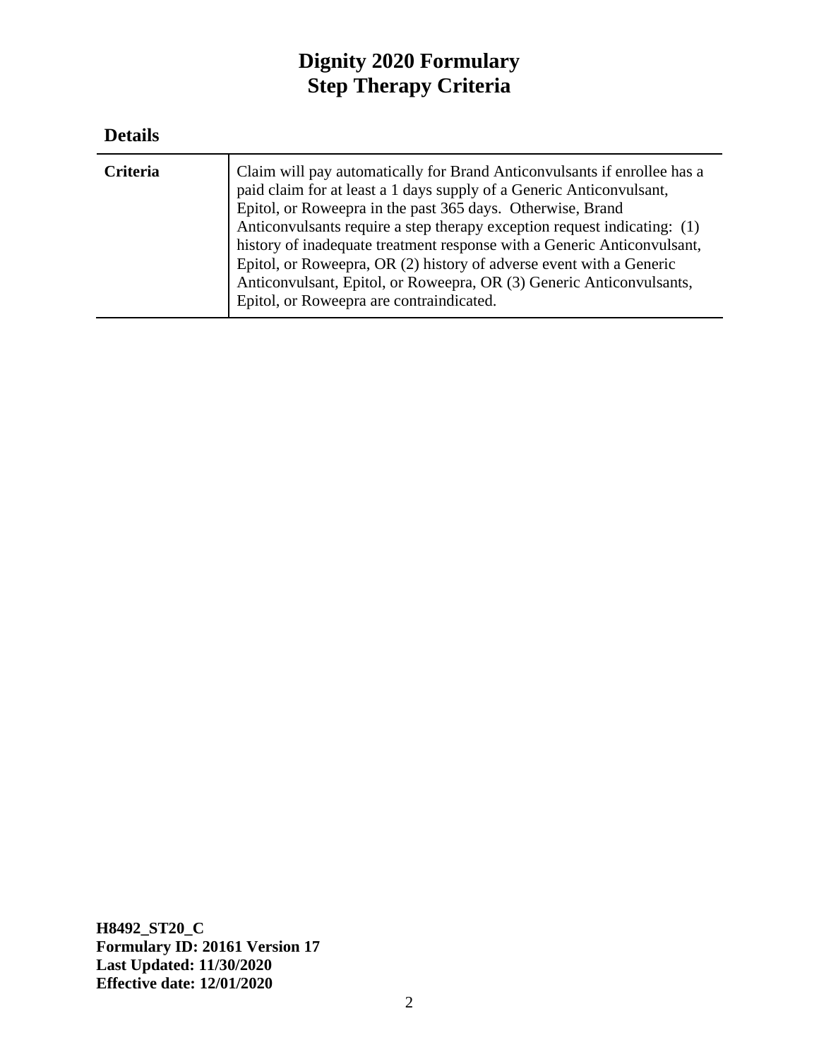#### **Details**

| Claim will pay automatically for Brand Anticonvulsants if enrollee has a<br><b>Criteria</b><br>paid claim for at least a 1 days supply of a Generic Anticonvulsant,<br>Epitol, or Roweepra in the past 365 days. Otherwise, Brand<br>Anticonvulsants require a step therapy exception request indicating: (1)<br>history of inadequate treatment response with a Generic Anticonvulsant,<br>Epitol, or Roweepra, OR (2) history of adverse event with a Generic<br>Anticonvulsant, Epitol, or Roweepra, OR (3) Generic Anticonvulsants,<br>Epitol, or Roweepra are contraindicated. |
|-------------------------------------------------------------------------------------------------------------------------------------------------------------------------------------------------------------------------------------------------------------------------------------------------------------------------------------------------------------------------------------------------------------------------------------------------------------------------------------------------------------------------------------------------------------------------------------|
|-------------------------------------------------------------------------------------------------------------------------------------------------------------------------------------------------------------------------------------------------------------------------------------------------------------------------------------------------------------------------------------------------------------------------------------------------------------------------------------------------------------------------------------------------------------------------------------|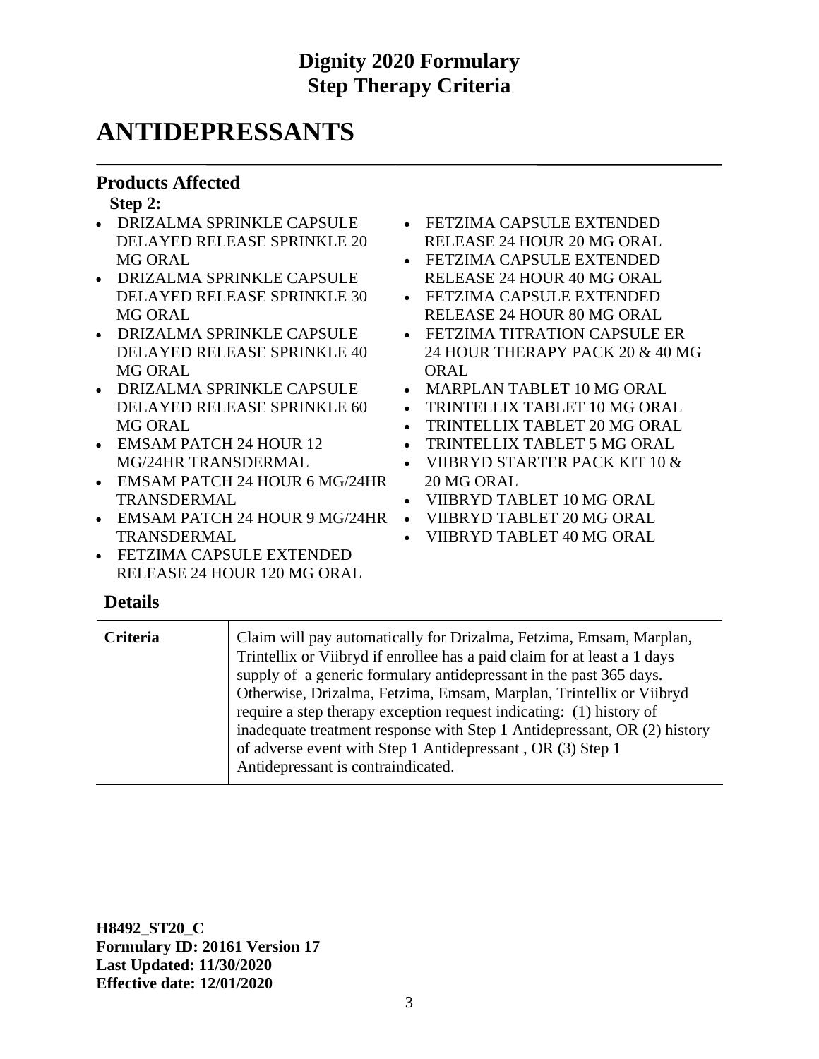## **ANTIDEPRESSANTS**

#### **Products Affected**

#### **Step 2:**

- DRIZALMA SPRINKLE CAPSULE DELAYED RELEASE SPRINKLE 20 MG ORAL
- DRIZALMA SPRINKLE CAPSULE DELAYED RELEASE SPRINKLE 30 MG ORAL
- DRIZALMA SPRINKLE CAPSULE DELAYED RELEASE SPRINKLE 40 MG ORAL
- DRIZALMA SPRINKLE CAPSULE DELAYED RELEASE SPRINKLE 60 MG ORAL
- EMSAM PATCH 24 HOUR 12 MG/24HR TRANSDERMAL
- EMSAM PATCH 24 HOUR 6 MG/24HR TRANSDERMAL
- EMSAM PATCH 24 HOUR 9 MG/24HR TRANSDERMAL
- FETZIMA CAPSULE EXTENDED RELEASE 24 HOUR 120 MG ORAL

#### • FETZIMA CAPSULE EXTENDED RELEASE 24 HOUR 20 MG ORAL

- FETZIMA CAPSULE EXTENDED RELEASE 24 HOUR 40 MG ORAL
- FETZIMA CAPSULE EXTENDED RELEASE 24 HOUR 80 MG ORAL
- FETZIMA TITRATION CAPSULE ER 24 HOUR THERAPY PACK 20 & 40 MG ORAL
- MARPLAN TABLET 10 MG ORAL
- TRINTELLIX TABLET 10 MG ORAL
- TRINTELLIX TABLET 20 MG ORAL
- TRINTELLIX TABLET 5 MG ORAL
- VIIBRYD STARTER PACK KIT 10 & 20 MG ORAL
- VIIBRYD TABLET 10 MG ORAL
- VIIBRYD TABLET 20 MG ORAL
- VIIBRYD TABLET 40 MG ORAL

#### **Details**

| <b>Criteria</b> | Claim will pay automatically for Drizalma, Fetzima, Emsam, Marplan,<br>Trintellix or Viibryd if enrollee has a paid claim for at least a 1 days<br>supply of a generic formulary antidepressant in the past 365 days.<br>Otherwise, Drizalma, Fetzima, Emsam, Marplan, Trintellix or Viibryd<br>require a step therapy exception request indicating: (1) history of<br>inadequate treatment response with Step 1 Antidepressant, OR (2) history<br>of adverse event with Step 1 Antidepressant, OR (3) Step 1<br>Antidepressant is contraindicated. |
|-----------------|-----------------------------------------------------------------------------------------------------------------------------------------------------------------------------------------------------------------------------------------------------------------------------------------------------------------------------------------------------------------------------------------------------------------------------------------------------------------------------------------------------------------------------------------------------|
|                 |                                                                                                                                                                                                                                                                                                                                                                                                                                                                                                                                                     |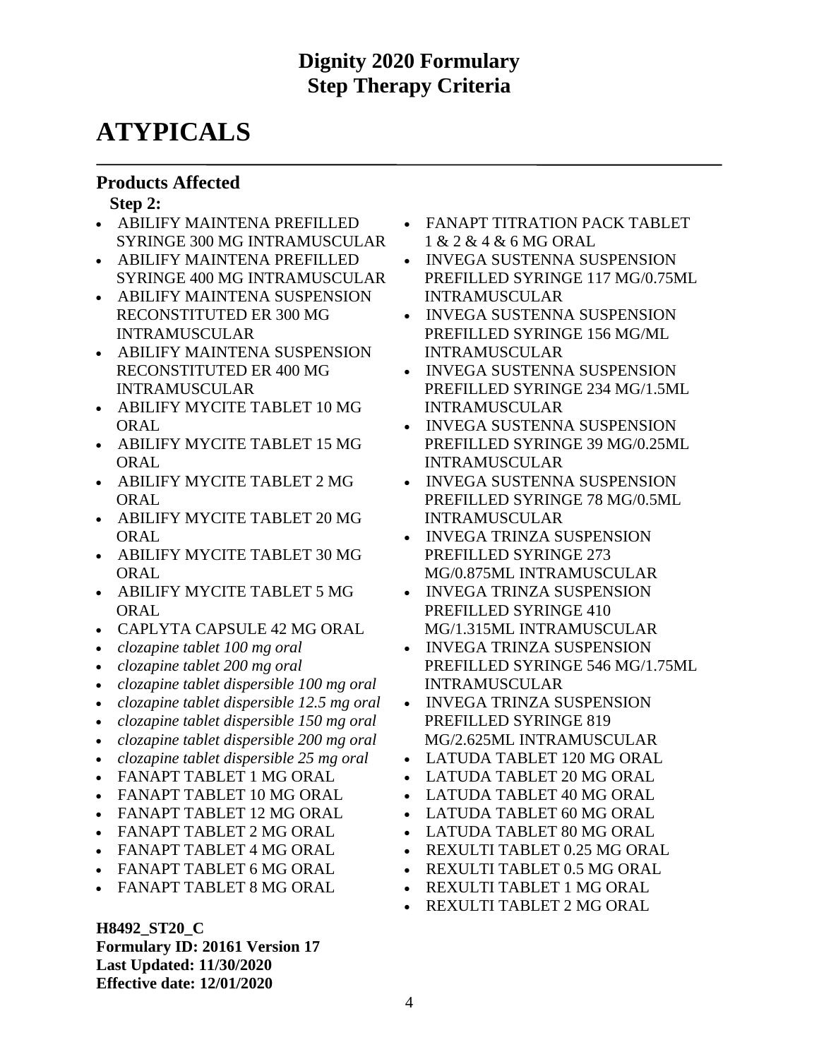# **ATYPICALS**

#### **Products Affected**

#### **Step 2:**

- ABILIFY MAINTENA PREFILLED SYRINGE 300 MG INTRAMUSCULAR
- ABILIFY MAINTENA PREFILLED SYRINGE 400 MG INTRAMUSCULAR
- ABILIFY MAINTENA SUSPENSION RECONSTITUTED ER 300 MG INTRAMUSCULAR
- ABILIFY MAINTENA SUSPENSION RECONSTITUTED ER 400 MG INTRAMUSCULAR
- ABILIFY MYCITE TABLET 10 MG **ORAL**
- ABILIFY MYCITE TABLET 15 MG **ORAL**
- ABILIFY MYCITE TABLET 2 MG **ORAL**
- ABILIFY MYCITE TABLET 20 MG ORAL
- ABILIFY MYCITE TABLET 30 MG ORAL
- ABILIFY MYCITE TABLET 5 MG ORAL
- CAPLYTA CAPSULE 42 MG ORAL
- *clozapine tablet 100 mg oral*
- *clozapine tablet 200 mg oral*
- *clozapine tablet dispersible 100 mg oral*
- *clozapine tablet dispersible 12.5 mg oral*
- *clozapine tablet dispersible 150 mg oral*
- *clozapine tablet dispersible 200 mg oral*
- *clozapine tablet dispersible 25 mg oral*
- FANAPT TABLET 1 MG ORAL
- FANAPT TABLET 10 MG ORAL
- FANAPT TABLET 12 MG ORAL
- FANAPT TABLET 2 MG ORAL
- FANAPT TABLET 4 MG ORAL
- FANAPT TABLET 6 MG ORAL
- FANAPT TABLET 8 MG ORAL

**H8492\_ST20\_C Formulary ID: 20161 Version 17 Last Updated: 11/30/2020 Effective date: 12/01/2020**

- FANAPT TITRATION PACK TABLET 1 & 2 & 4 & 6 MG ORAL
- INVEGA SUSTENNA SUSPENSION PREFILLED SYRINGE 117 MG/0.75ML INTRAMUSCULAR
- INVEGA SUSTENNA SUSPENSION PREFILLED SYRINGE 156 MG/ML INTRAMUSCULAR
- INVEGA SUSTENNA SUSPENSION PREFILLED SYRINGE 234 MG/1.5ML INTRAMUSCULAR
- INVEGA SUSTENNA SUSPENSION PREFILLED SYRINGE 39 MG/0.25ML INTRAMUSCULAR
- INVEGA SUSTENNA SUSPENSION PREFILLED SYRINGE 78 MG/0.5ML INTRAMUSCULAR
- INVEGA TRINZA SUSPENSION PREFILLED SYRINGE 273 MG/0.875ML INTRAMUSCULAR
- INVEGA TRINZA SUSPENSION PREFILLED SYRINGE 410
- MG/1.315ML INTRAMUSCULAR • INVEGA TRINZA SUSPENSION PREFILLED SYRINGE 546 MG/1.75ML INTRAMUSCULAR
- INVEGA TRINZA SUSPENSION
- PREFILLED SYRINGE 819 MG/2.625ML INTRAMUSCULAR
- LATUDA TABLET 120 MG ORAL
- LATUDA TABLET 20 MG ORAL
- LATUDA TABLET 40 MG ORAL
- LATUDA TABLET 60 MG ORAL
- LATUDA TABLET 80 MG ORAL
- REXULTI TABLET 0.25 MG ORAL
- REXULTI TABLET 0.5 MG ORAL
- REXULTI TABLET 1 MG ORAL
- REXULTI TABLET 2 MG ORAL

4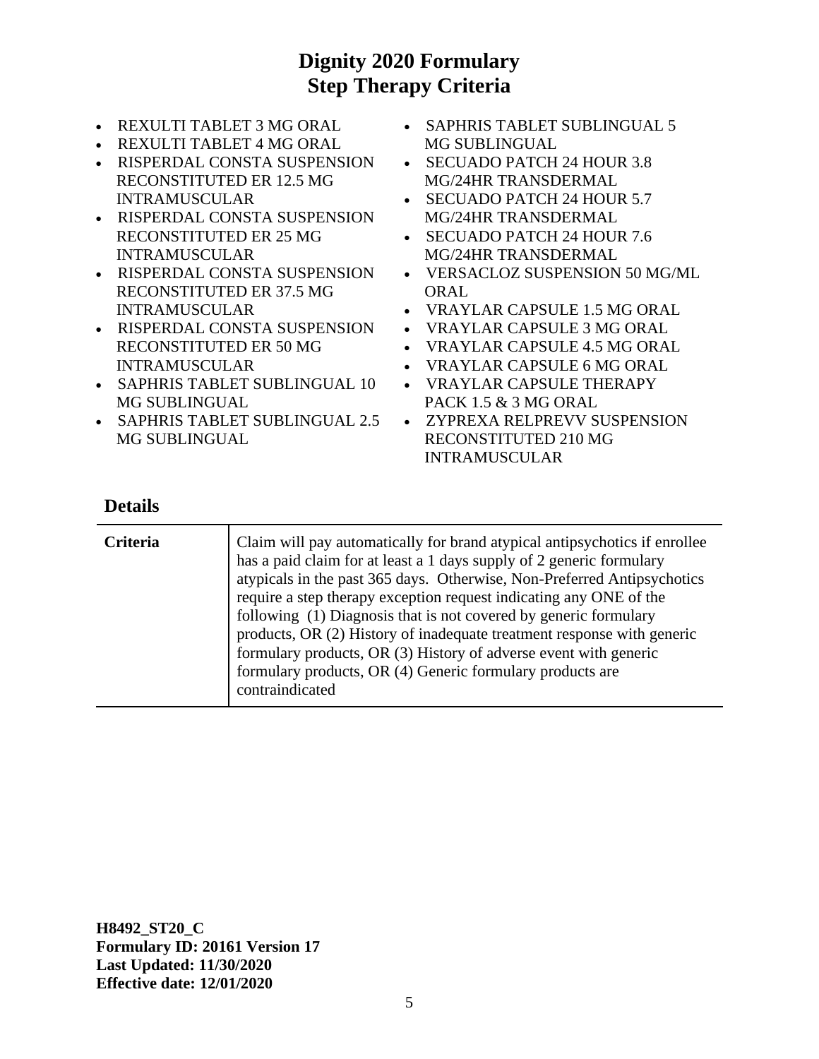- REXULTI TABLET 3 MG ORAL
- REXULTI TABLET 4 MG ORAL
- RISPERDAL CONSTA SUSPENSION RECONSTITUTED ER 12.5 MG INTRAMUSCULAR
- RISPERDAL CONSTA SUSPENSION RECONSTITUTED ER 25 MG INTRAMUSCULAR
- RISPERDAL CONSTA SUSPENSION RECONSTITUTED ER 37.5 MG INTRAMUSCULAR
- RISPERDAL CONSTA SUSPENSION RECONSTITUTED ER 50 MG INTRAMUSCULAR
- SAPHRIS TABLET SUBLINGUAL 10 MG SUBLINGUAL
- SAPHRIS TABLET SUBLINGUAL 2.5 MG SUBLINGUAL
- SAPHRIS TABLET SUBLINGUAL 5 MG SUBLINGUAL
- SECUADO PATCH 24 HOUR 3.8 MG/24HR TRANSDERMAL
- SECUADO PATCH 24 HOUR 5.7 MG/24HR TRANSDERMAL
- SECUADO PATCH 24 HOUR 7.6 MG/24HR TRANSDERMAL
- VERSACLOZ SUSPENSION 50 MG/ML **ORAL**
- VRAYLAR CAPSULE 1.5 MG ORAL
- VRAYLAR CAPSULE 3 MG ORAL
- VRAYLAR CAPSULE 4.5 MG ORAL
- VRAYLAR CAPSULE 6 MG ORAL
- VRAYLAR CAPSULE THERAPY PACK 1.5 & 3 MG ORAL
- ZYPREXA RELPREVV SUSPENSION RECONSTITUTED 210 MG INTRAMUSCULAR

#### **Details**

| <b>Criteria</b> | Claim will pay automatically for brand atypical antipsychotics if enrollee<br>has a paid claim for at least a 1 days supply of 2 generic formulary<br>atypicals in the past 365 days. Otherwise, Non-Preferred Antipsychotics<br>require a step therapy exception request indicating any ONE of the<br>following (1) Diagnosis that is not covered by generic formulary<br>products, OR (2) History of inadequate treatment response with generic<br>formulary products, OR (3) History of adverse event with generic<br>formulary products, OR (4) Generic formulary products are<br>contraindicated |
|-----------------|-------------------------------------------------------------------------------------------------------------------------------------------------------------------------------------------------------------------------------------------------------------------------------------------------------------------------------------------------------------------------------------------------------------------------------------------------------------------------------------------------------------------------------------------------------------------------------------------------------|
|-----------------|-------------------------------------------------------------------------------------------------------------------------------------------------------------------------------------------------------------------------------------------------------------------------------------------------------------------------------------------------------------------------------------------------------------------------------------------------------------------------------------------------------------------------------------------------------------------------------------------------------|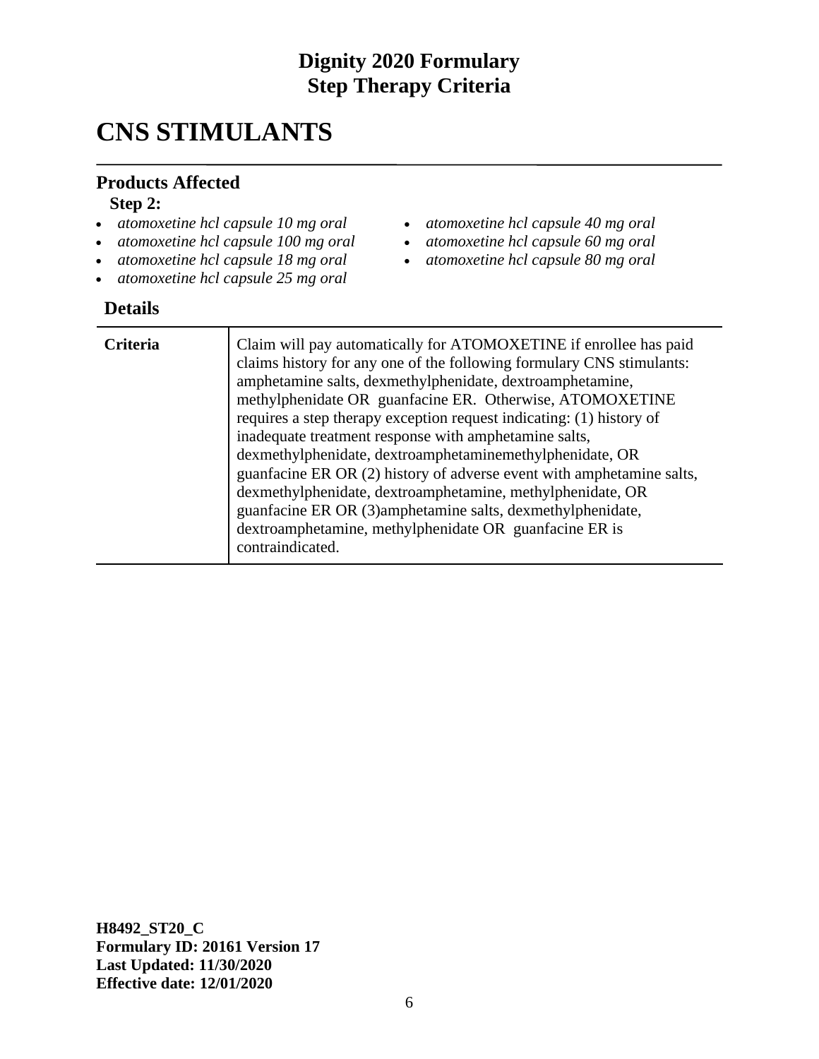## **CNS STIMULANTS**

#### **Products Affected**

#### **Step 2:**

- *atomoxetine hcl capsule 10 mg oral*
- *atomoxetine hcl capsule 100 mg oral*
- *atomoxetine hcl capsule 18 mg oral*
- *atomoxetine hcl capsule 25 mg oral*

#### **Details**

- *atomoxetine hcl capsule 40 mg oral*
- *atomoxetine hcl capsule 60 mg oral*
- *atomoxetine hcl capsule 80 mg oral*

| <b>Criteria</b> | Claim will pay automatically for ATOMOXETINE if enrollee has paid<br>claims history for any one of the following formulary CNS stimulants:<br>amphetamine salts, dexmethylphenidate, dextroamphetamine,<br>methylphenidate OR guanfacine ER. Otherwise, ATOMOXETINE<br>requires a step therapy exception request indicating: (1) history of<br>inadequate treatment response with amphetamine salts,<br>dexmethylphenidate, dextroamphetaminemethylphenidate, OR<br>guanfacine ER OR (2) history of adverse event with amphetamine salts,<br>dexmethylphenidate, dextroamphetamine, methylphenidate, OR<br>guanfacine ER OR (3) amphetamine salts, dexmethylphenidate,<br>dextroamphetamine, methylphenidate OR guanfacine ER is<br>contraindicated. |
|-----------------|------------------------------------------------------------------------------------------------------------------------------------------------------------------------------------------------------------------------------------------------------------------------------------------------------------------------------------------------------------------------------------------------------------------------------------------------------------------------------------------------------------------------------------------------------------------------------------------------------------------------------------------------------------------------------------------------------------------------------------------------------|
|-----------------|------------------------------------------------------------------------------------------------------------------------------------------------------------------------------------------------------------------------------------------------------------------------------------------------------------------------------------------------------------------------------------------------------------------------------------------------------------------------------------------------------------------------------------------------------------------------------------------------------------------------------------------------------------------------------------------------------------------------------------------------------|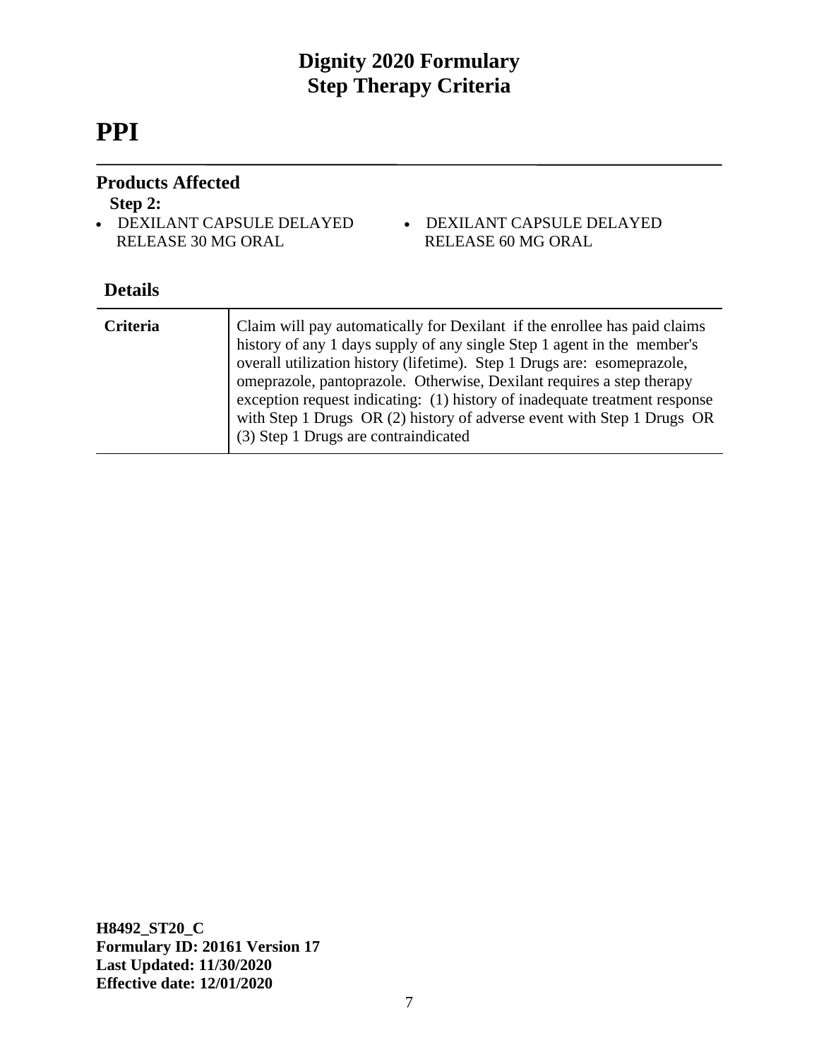# **PPI**

#### **Products Affected**

#### **Step 2:**

- DEXILANT CAPSULE DELAYED RELEASE 30 MG ORAL
- DEXILANT CAPSULE DELAYED RELEASE 60 MG ORAL

#### **Details**

| Criteria | Claim will pay automatically for Dexilant if the enrollee has paid claims<br>history of any 1 days supply of any single Step 1 agent in the member's<br>overall utilization history (lifetime). Step 1 Drugs are: esomeprazole,<br>omeprazole, pantoprazole. Otherwise, Dexilant requires a step therapy<br>exception request indicating: (1) history of inadequate treatment response<br>with Step 1 Drugs OR (2) history of adverse event with Step 1 Drugs OR<br>(3) Step 1 Drugs are contraindicated |
|----------|----------------------------------------------------------------------------------------------------------------------------------------------------------------------------------------------------------------------------------------------------------------------------------------------------------------------------------------------------------------------------------------------------------------------------------------------------------------------------------------------------------|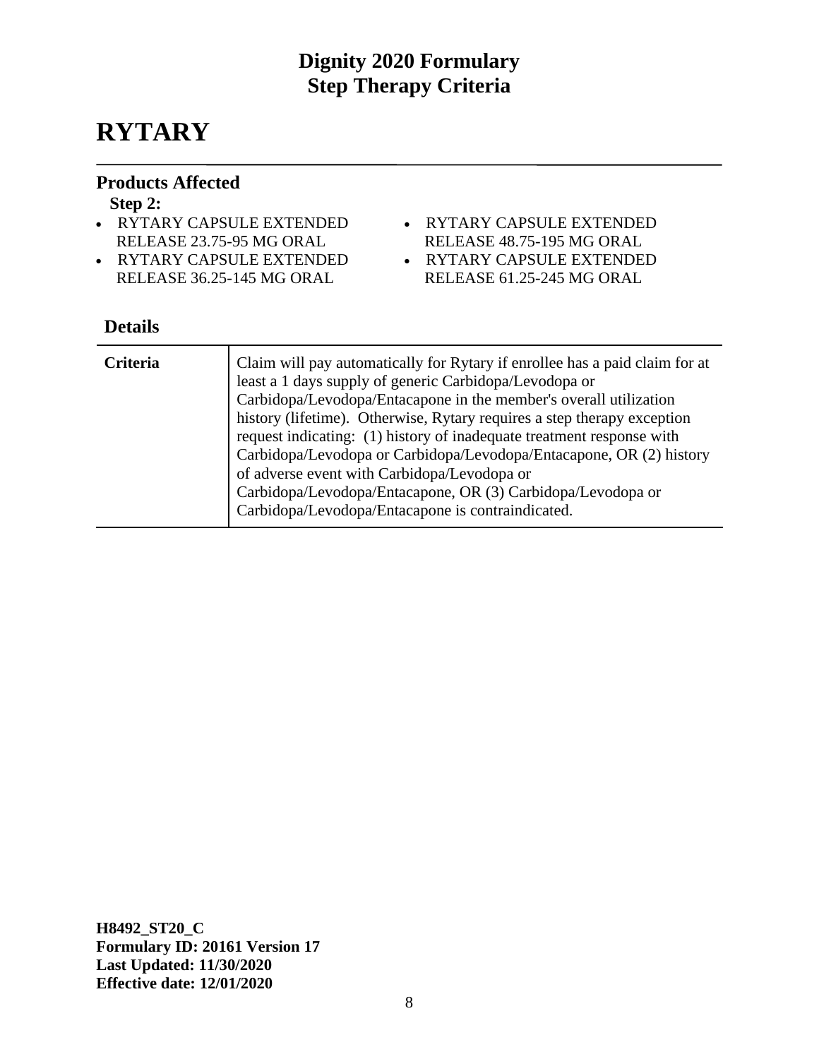## **RYTARY**

#### **Products Affected**

#### **Step 2:**

- RYTARY CAPSULE EXTENDED RELEASE 23.75-95 MG ORAL
- RYTARY CAPSULE EXTENDED RELEASE 36.25-145 MG ORAL
- RYTARY CAPSULE EXTENDED
	- RELEASE 48.75-195 MG ORAL
- RYTARY CAPSULE EXTENDED
- RELEASE 61.25-245 MG ORAL

#### **Details**

| <b>Criteria</b> | Claim will pay automatically for Rytary if enrollee has a paid claim for at<br>least a 1 days supply of generic Carbidopa/Levodopa or<br>Carbidopa/Levodopa/Entacapone in the member's overall utilization<br>history (lifetime). Otherwise, Rytary requires a step therapy exception<br>request indicating: (1) history of inadequate treatment response with<br>Carbidopa/Levodopa or Carbidopa/Levodopa/Entacapone, OR (2) history<br>of adverse event with Carbidopa/Levodopa or<br>Carbidopa/Levodopa/Entacapone, OR (3) Carbidopa/Levodopa or<br>Carbidopa/Levodopa/Entacapone is contraindicated. |
|-----------------|----------------------------------------------------------------------------------------------------------------------------------------------------------------------------------------------------------------------------------------------------------------------------------------------------------------------------------------------------------------------------------------------------------------------------------------------------------------------------------------------------------------------------------------------------------------------------------------------------------|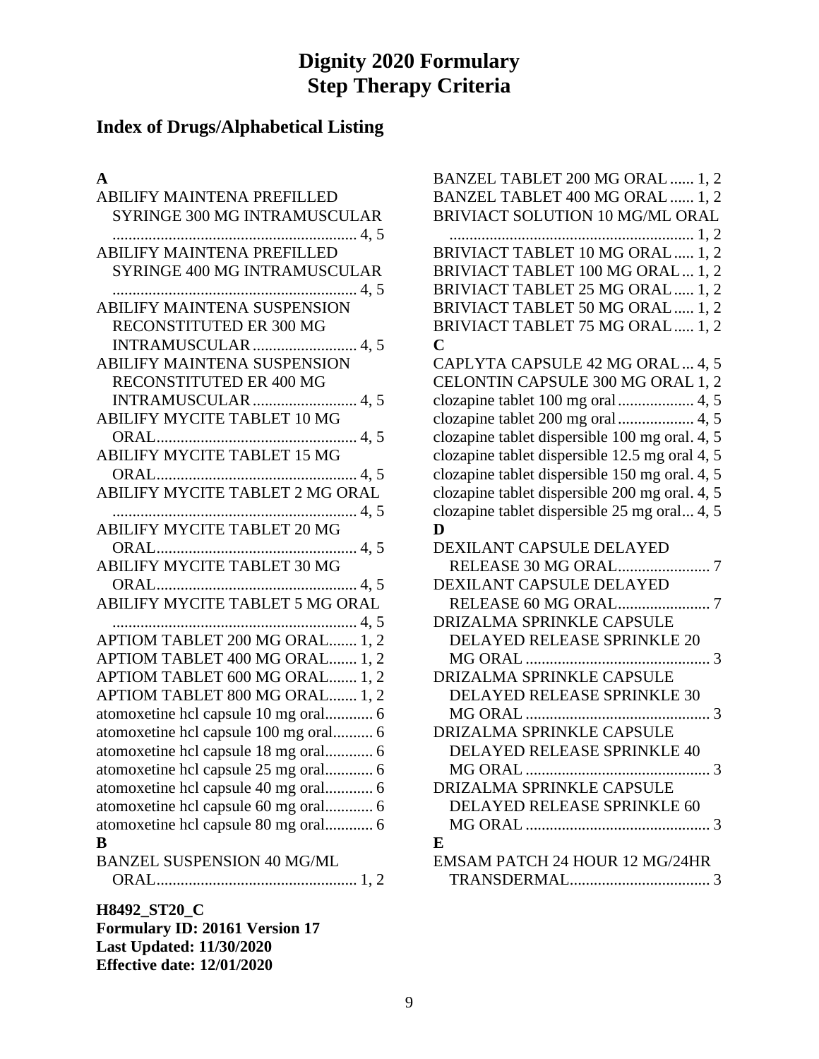## **Index of Drugs/Alphabetical Listing**

#### **A**

| ABILIFY MAINTENA PREFILLED                                                   |
|------------------------------------------------------------------------------|
| SYRINGE 300 MG INTRAMUSCULAR                                                 |
|                                                                              |
| <b>ABILIFY MAINTENA PREFILLED</b>                                            |
| SYRINGE 400 MG INTRAMUSCULAR                                                 |
|                                                                              |
| <b>ABILIFY MAINTENA SUSPENSION</b>                                           |
| RECONSTITUTED ER 300 MG                                                      |
| INTRAMUSCULAR  4, 5                                                          |
| <b>ABILIFY MAINTENA SUSPENSION</b>                                           |
| RECONSTITUTED ER 400 MG                                                      |
| <b>INTRAMUSCULAR</b> 4, 5                                                    |
| ABILIFY MYCITE TABLET 10 MG                                                  |
|                                                                              |
|                                                                              |
|                                                                              |
| ABILIFY MYCITE TABLET 2 MG ORAL                                              |
|                                                                              |
|                                                                              |
|                                                                              |
| ABILIFY MYCITE TABLET 30 MG                                                  |
|                                                                              |
| ABILIFY MYCITE TABLET 5 MG ORAL                                              |
|                                                                              |
| APTIOM TABLET 200 MG ORAL 1, 2                                               |
| APTIOM TABLET 400 MG ORAL 1, 2                                               |
| APTIOM TABLET 600 MG ORAL 1, 2                                               |
| APTIOM TABLET 800 MG ORAL  1, 2                                              |
| atomoxetine hcl capsule 10 mg oral 6                                         |
| atomoxetine hcl capsule 100 mg oral 6                                        |
| atomoxetine hcl capsule 18 mg oral 6<br>atomoxetine hcl capsule 25 mg oral 6 |
|                                                                              |
| atomoxetine hcl capsule 60 mg oral 6                                         |
| atomoxetine hcl capsule 80 mg oral 6                                         |
| B                                                                            |
| <b>BANZEL SUSPENSION 40 MG/ML</b>                                            |
|                                                                              |
|                                                                              |
| H8492_ST20_C                                                                 |
| <b>Formulary ID: 20161 Version 17</b>                                        |

**Last Updated: 11/30/2020 Effective date: 12/01/2020**

| BANZEL TABLET 200 MG ORAL  1, 2                |
|------------------------------------------------|
| BANZEL TABLET 400 MG ORAL  1, 2                |
| BRIVIACT SOLUTION 10 MG/ML ORAL                |
|                                                |
| BRIVIACT TABLET 10 MG ORAL  1, 2               |
| BRIVIACT TABLET 100 MG ORAL  1, 2              |
| BRIVIACT TABLET 25 MG ORAL  1, 2               |
| BRIVIACT TABLET 50 MG ORAL  1, 2               |
| BRIVIACT TABLET 75 MG ORAL  1, 2               |
| C                                              |
| CAPLYTA CAPSULE 42 MG ORAL 4, 5                |
| CELONTIN CAPSULE 300 MG ORAL 1, 2              |
| clozapine tablet 100 mg oral  4, 5             |
| clozapine tablet 200 mg oral  4, 5             |
| clozapine tablet dispersible 100 mg oral. 4, 5 |
| clozapine tablet dispersible 12.5 mg oral 4, 5 |
| clozapine tablet dispersible 150 mg oral. 4, 5 |
| clozapine tablet dispersible 200 mg oral. 4, 5 |
| clozapine tablet dispersible 25 mg oral 4, 5   |
| D                                              |
| <b>DEXILANT CAPSULE DELAYED</b>                |
|                                                |
| DEXILANT CAPSULE DELAYED                       |
|                                                |
|                                                |
| DRIZALMA SPRINKLE CAPSULE                      |
| DELAYED RELEASE SPRINKLE 20                    |
|                                                |
| DRIZALMA SPRINKLE CAPSULE                      |
| DELAYED RELEASE SPRINKLE 30                    |
| 3                                              |
| DRIZALMA SPRINKLE CAPSULE                      |
| <b>DELAYED RELEASE SPRINKLE 40</b>             |
| $\ldots$ 3<br>MG ORAL                          |
| DRIZALMA SPRINKLE CAPSULE                      |
| DELAYED RELEASE SPRINKLE 60                    |
|                                                |
| E                                              |
| EMSAM PATCH 24 HOUR 12 MG/24HR                 |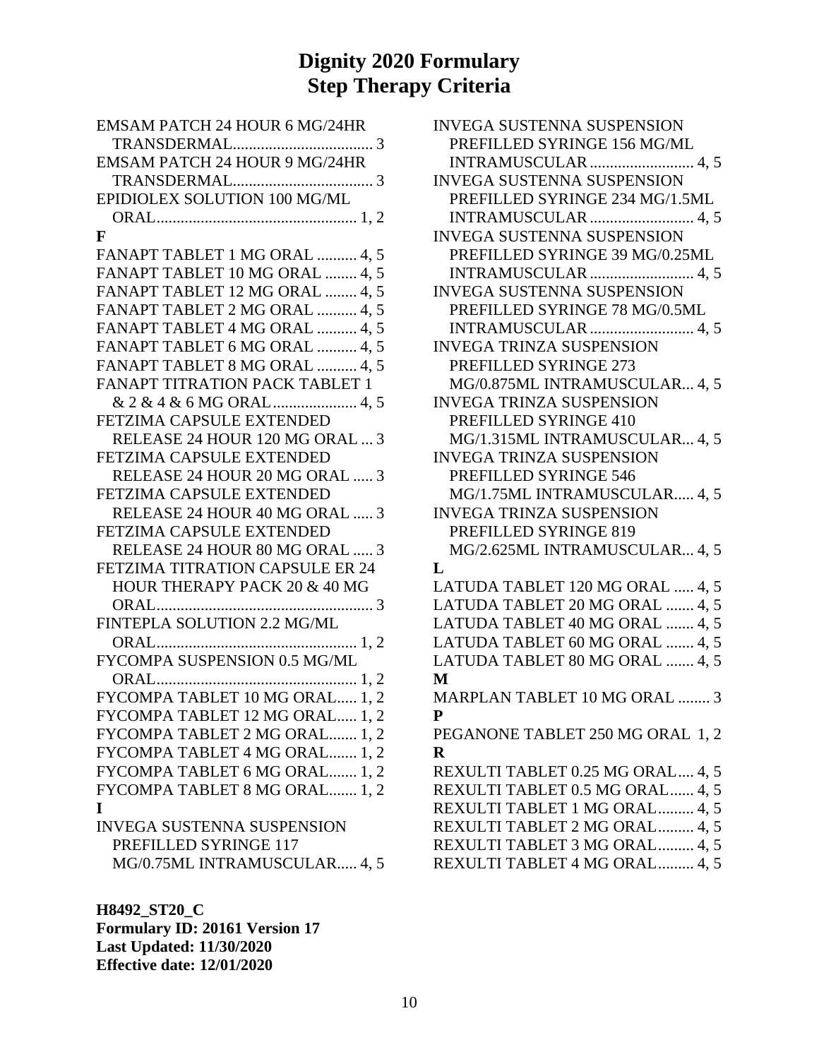| EMSAM PATCH 24 HOUR 6 MG/24HR     |
|-----------------------------------|
|                                   |
| EMSAM PATCH 24 HOUR 9 MG/24HR     |
|                                   |
| EPIDIOLEX SOLUTION 100 MG/ML      |
|                                   |
| F                                 |
| FANAPT TABLET 1 MG ORAL  4, 5     |
| FANAPT TABLET 10 MG ORAL  4, 5    |
| FANAPT TABLET 12 MG ORAL  4, 5    |
| FANAPT TABLET 2 MG ORAL  4, 5     |
| FANAPT TABLET 4 MG ORAL  4, 5     |
| FANAPT TABLET 6 MG ORAL  4, 5     |
| FANAPT TABLET 8 MG ORAL  4, 5     |
| FANAPT TITRATION PACK TABLET 1    |
|                                   |
| FETZIMA CAPSULE EXTENDED          |
| RELEASE 24 HOUR 120 MG ORAL  3    |
| <b>FETZIMA CAPSULE EXTENDED</b>   |
| RELEASE 24 HOUR 20 MG ORAL  3     |
| FETZIMA CAPSULE EXTENDED          |
| RELEASE 24 HOUR 40 MG ORAL  3     |
| FETZIMA CAPSULE EXTENDED          |
| RELEASE 24 HOUR 80 MG ORAL  3     |
| FETZIMA TITRATION CAPSULE ER 24   |
| HOUR THERAPY PACK 20 & 40 MG      |
| ORAL<br>. 3                       |
| FINTEPLA SOLUTION 2.2 MG/ML       |
|                                   |
| FYCOMPA SUSPENSION 0.5 MG/ML      |
|                                   |
| FYCOMPA TABLET 10 MG ORAL 1, 2    |
| FYCOMPA TABLET 12 MG ORAL 1, 2    |
| FYCOMPA TABLET 2 MG ORAL 1, 2     |
| FYCOMPA TABLET 4 MG ORAL 1, 2     |
| FYCOMPA TABLET 6 MG ORAL 1, 2     |
| FYCOMPA TABLET 8 MG ORAL 1, 2     |
| I                                 |
| <b>INVEGA SUSTENNA SUSPENSION</b> |
| PREFILLED SYRINGE 117             |
| MG/0.75ML INTRAMUSCULAR 4, 5      |

| <b>INVEGA SUSTENNA SUSPENSION</b> |
|-----------------------------------|
| PREFILLED SYRINGE 156 MG/ML       |
| INTRAMUSCULAR  4, 5               |
| <b>INVEGA SUSTENNA SUSPENSION</b> |
| PREFILLED SYRINGE 234 MG/1.5ML    |
| INTRAMUSCULAR  4, 5               |
| <b>INVEGA SUSTENNA SUSPENSION</b> |
| PREFILLED SYRINGE 39 MG/0.25ML    |
| INTRAMUSCULAR  4, 5               |
| <b>INVEGA SUSTENNA SUSPENSION</b> |
| PREFILLED SYRINGE 78 MG/0.5ML     |
| INTRAMUSCULAR  4, 5               |
| INVEGA TRINZA SUSPENSION          |
| PREFILLED SYRINGE 273             |
| MG/0.875ML INTRAMUSCULAR 4, 5     |
| <b>INVEGA TRINZA SUSPENSION</b>   |
| PREFILLED SYRINGE 410             |
| MG/1.315ML INTRAMUSCULAR 4, 5     |
| INVEGA TRINZA SUSPENSION          |
| PREFILLED SYRINGE 546             |
| MG/1.75ML INTRAMUSCULAR 4, 5      |
| <b>INVEGA TRINZA SUSPENSION</b>   |
| PREFILLED SYRINGE 819             |
| MG/2.625ML INTRAMUSCULAR 4, 5     |
| L                                 |
| LATUDA TABLET 120 MG ORAL  4, 5   |
| LATUDA TABLET 20 MG ORAL  4, 5    |
| LATUDA TABLET 40 MG ORAL  4, 5    |
| LATUDA TABLET 60 MG ORAL  4, 5    |
| LATUDA TABLET 80 MG ORAL  4, 5    |
| $\mathbf M$                       |
| MARPLAN TABLET 10 MG ORAL  3      |
| P                                 |
| PEGANONE TABLET 250 MG ORAL 1, 2  |
| $\overline{\mathbf{R}}$           |
| REXULTI TABLET 0.25 MG ORAL 4, 5  |
| REXULTI TABLET 0.5 MG ORAL 4, 5   |
| REXULTI TABLET 1 MG ORAL 4, 5     |
| REXULTI TABLET 2 MG ORAL 4, 5     |
| REXULTI TABLET 3 MG ORAL 4, 5     |
| REXULTI TABLET 4 MG ORAL 4, 5     |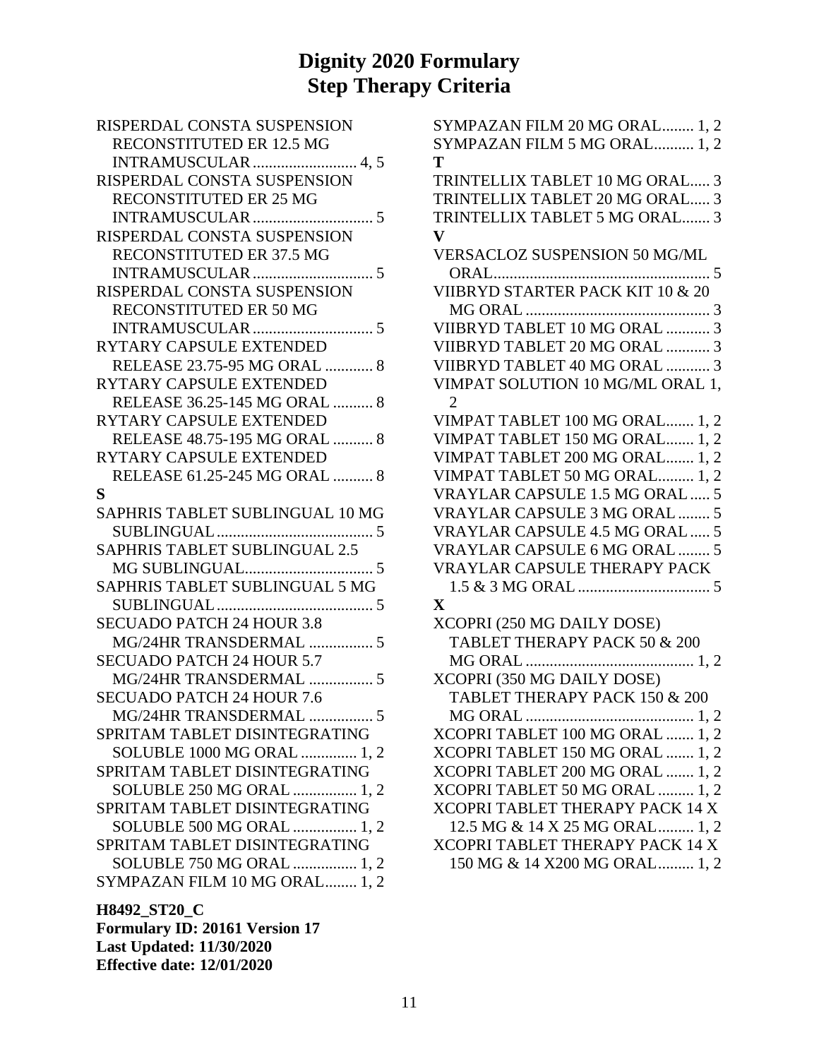| RISPERDAL CONSTA SUSPENSION      |
|----------------------------------|
| RECONSTITUTED ER 12.5 MG         |
| INTRAMUSCULAR  4, 5              |
| RISPERDAL CONSTA SUSPENSION      |
| RECONSTITUTED ER 25 MG           |
| . 5<br>INTRAMUSCULAR             |
| RISPERDAL CONSTA SUSPENSION      |
| RECONSTITUTED ER 37.5 MG         |
|                                  |
| RISPERDAL CONSTA SUSPENSION      |
| RECONSTITUTED ER 50 MG           |
|                                  |
| RYTARY CAPSULE EXTENDED          |
| RELEASE 23.75-95 MG ORAL  8      |
| RYTARY CAPSULE EXTENDED          |
| RELEASE 36.25-145 MG ORAL  8     |
| RYTARY CAPSULE EXTENDED          |
| RELEASE 48.75-195 MG ORAL  8     |
| RYTARY CAPSULE EXTENDED          |
| RELEASE 61.25-245 MG ORAL  8     |
| S                                |
| SAPHRIS TABLET SUBLINGUAL 10 MG  |
| . 5                              |
| SAPHRIS TABLET SUBLINGUAL 2.5    |
|                                  |
| SAPHRIS TABLET SUBLINGUAL 5 MG   |
|                                  |
| <b>SECUADO PATCH 24 HOUR 3.8</b> |
| MG/24HR TRANSDERMAL  5           |
| <b>SECUADO PATCH 24 HOUR 5.7</b> |
| MG/24HR TRANSDERMAL  5           |
|                                  |
| <b>SECUADO PATCH 24 HOUR 7.6</b> |
| MG/24HR TRANSDERMAL.<br>5        |
| SPRITAM TABLET DISINTEGRATING    |
| SOLUBLE 1000 MG ORAL  1, 2       |
| SPRITAM TABLET DISINTEGRATING    |
| SOLUBLE 250 MG ORAL  1, 2        |
| SPRITAM TABLET DISINTEGRATING    |
| SOLUBLE 500 MG ORAL  1, 2        |
| SPRITAM TABLET DISINTEGRATING    |
| SOLUBLE 750 MG ORAL  1, 2        |
| SYMPAZAN FILM 10 MG ORAL 1, 2    |

**H8492\_ST20\_C Formulary ID: 20161 Version 17 Last Updated: 11/30/2020 Effective date: 12/01/2020**

| SYMPAZAN FILM 20 MG ORAL 1, 2       |
|-------------------------------------|
| SYMPAZAN FILM 5 MG ORAL 1, 2        |
| Т                                   |
| TRINTELLIX TABLET 10 MG ORAL 3      |
| TRINTELLIX TABLET 20 MG ORAL 3      |
| TRINTELLIX TABLET 5 MG ORAL 3       |
| $\mathbf{V}$                        |
| VERSACLOZ SUSPENSION 50 MG/ML       |
| . 5                                 |
|                                     |
|                                     |
| VIIBRYD TABLET 10 MG ORAL  3        |
| VIIBRYD TABLET 20 MG ORAL  3        |
| VIIBRYD TABLET 40 MG ORAL  3        |
| VIMPAT SOLUTION 10 MG/ML ORAL 1,    |
| $\overline{2}$                      |
| VIMPAT TABLET 100 MG ORAL 1, 2      |
| VIMPAT TABLET 150 MG ORAL 1, 2      |
| VIMPAT TABLET 200 MG ORAL 1, 2      |
| VIMPAT TABLET 50 MG ORAL 1, 2       |
| VRAYLAR CAPSULE 1.5 MG ORAL  5      |
| VRAYLAR CAPSULE 3 MG ORAL  5        |
| VRAYLAR CAPSULE 4.5 MG ORAL  5      |
| VRAYLAR CAPSULE 6 MG ORAL  5        |
| <b>VRAYLAR CAPSULE THERAPY PACK</b> |
|                                     |
| X                                   |
| XCOPRI (250 MG DAILY DOSE)          |
| TABLET THERAPY PACK 50 & 200        |
|                                     |
| XCOPRI (350 MG DAILY DOSE)          |
| TABLET THERAPY PACK 150 & 200       |
|                                     |
| XCOPRI TABLET 100 MG ORAL  1, 2     |
| XCOPRI TABLET 150 MG ORAL  1, 2     |
| XCOPRI TABLET 200 MG ORAL  1, 2     |
| XCOPRI TABLET 50 MG ORAL  1, 2      |
| XCOPRI TABLET THERAPY PACK 14 X     |
| 12.5 MG & 14 X 25 MG ORAL 1, 2      |
| XCOPRI TABLET THERAPY PACK 14 X     |

150 MG & 14 X200 MG ORAL......... 1, 2